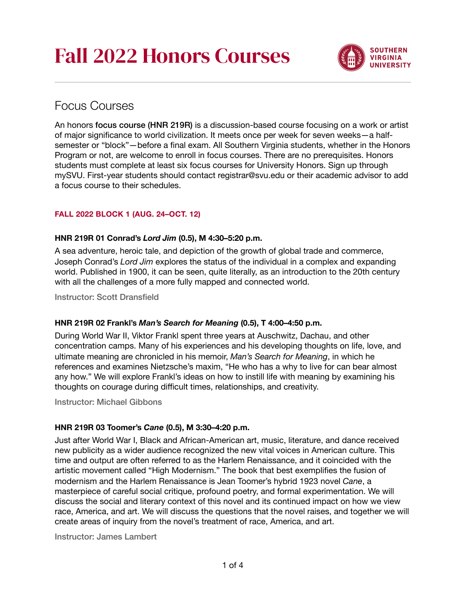

# Focus Courses

An honors focus course (HNR 219R) is a discussion-based course focusing on a work or artist of major significance to world civilization. It meets once per week for seven weeks—a halfsemester or "block"—before a final exam. All Southern Virginia students, whether in the Honors Program or not, are welcome to enroll in focus courses. There are no prerequisites. Honors students must complete at least six focus courses for University Honors. Sign up through mySVU. First-year students should contact registrar@svu.edu or their academic advisor to add a focus course to their schedules.

# **FALL 2022 BLOCK 1 (AUG. 24–OCT. 12)**

# **HNR 219R 01 Conrad's** *Lord Jim* **(0.5), M 4:30–5:20 p.m.**

A sea adventure, heroic tale, and depiction of the growth of global trade and commerce, Joseph Conrad's *Lord Jim* explores the status of the individual in a complex and expanding world. Published in 1900, it can be seen, quite literally, as an introduction to the 20th century with all the challenges of a more fully mapped and connected world.

Instructor: Scott Dransfield

# **HNR 219R 02 Frankl's** *Man's Search for Meaning* **(0.5), T 4:00–4:50 p.m.**

During World War II, Viktor Frankl spent three years at Auschwitz, Dachau, and other concentration camps. Many of his experiences and his developing thoughts on life, love, and ultimate meaning are chronicled in his memoir, *Man's Search for Meaning*, in which he references and examines Nietzsche's maxim, "He who has a why to live for can bear almost any how." We will explore Frankl's ideas on how to instill life with meaning by examining his thoughts on courage during difficult times, relationships, and creativity.

Instructor: Michael Gibbons

## **HNR 219R 03 Toomer's** *Cane* **(0.5), M 3:30–4:20 p.m.**

Just after World War I, Black and African-American art, music, literature, and dance received new publicity as a wider audience recognized the new vital voices in American culture. This time and output are often referred to as the Harlem Renaissance, and it coincided with the artistic movement called "High Modernism." The book that best exemplifies the fusion of modernism and the Harlem Renaissance is Jean Toomer's hybrid 1923 novel *Cane*, a masterpiece of careful social critique, profound poetry, and formal experimentation. We will discuss the social and literary context of this novel and its continued impact on how we view race, America, and art. We will discuss the questions that the novel raises, and together we will create areas of inquiry from the novel's treatment of race, America, and art.

Instructor: James Lambert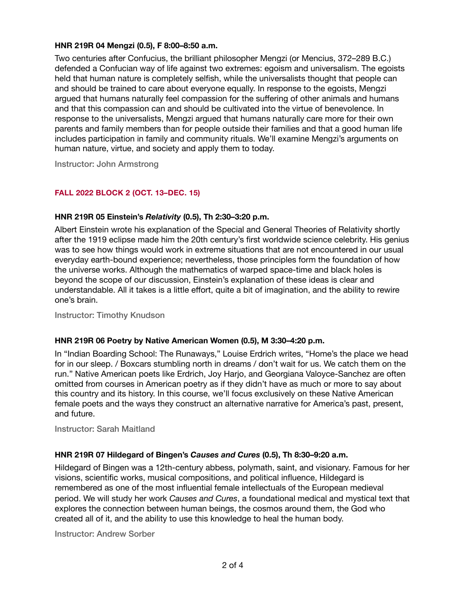## **HNR 219R 04 Mengzi (0.5), F 8:00–8:50 a.m.**

Two centuries after Confucius, the brilliant philosopher Mengzi (or Mencius, 372–289 B.C.) defended a Confucian way of life against two extremes: egoism and universalism. The egoists held that human nature is completely selfish, while the universalists thought that people can and should be trained to care about everyone equally. In response to the egoists, Mengzi argued that humans naturally feel compassion for the suffering of other animals and humans and that this compassion can and should be cultivated into the virtue of benevolence. In response to the universalists, Mengzi argued that humans naturally care more for their own parents and family members than for people outside their families and that a good human life includes participation in family and community rituals. We'll examine Mengzi's arguments on human nature, virtue, and society and apply them to today.

Instructor: John Armstrong

# **FALL 2022 BLOCK 2 (OCT. 13–DEC. 15)**

## **HNR 219R 05 Einstein's** *Relativity* **(0.5), Th 2:30–3:20 p.m.**

Albert Einstein wrote his explanation of the Special and General Theories of Relativity shortly after the 1919 eclipse made him the 20th century's first worldwide science celebrity. His genius was to see how things would work in extreme situations that are not encountered in our usual everyday earth-bound experience; nevertheless, those principles form the foundation of how the universe works. Although the mathematics of warped space-time and black holes is beyond the scope of our discussion, Einstein's explanation of these ideas is clear and understandable. All it takes is a little effort, quite a bit of imagination, and the ability to rewire one's brain.

Instructor: Timothy Knudson

## **HNR 219R 06 Poetry by Native American Women (0.5), M 3:30–4:20 p.m.**

In "Indian Boarding School: The Runaways," Louise Erdrich writes, "Home's the place we head for in our sleep. / Boxcars stumbling north in dreams / don't wait for us. We catch them on the run." Native American poets like Erdrich, Joy Harjo, and Georgiana Valoyce-Sanchez are often omitted from courses in American poetry as if they didn't have as much or more to say about this country and its history. In this course, we'll focus exclusively on these Native American female poets and the ways they construct an alternative narrative for America's past, present, and future.

Instructor: Sarah Maitland

#### **HNR 219R 07 Hildegard of Bingen's** *Causes and Cures* **(0.5), Th 8:30–9:20 a.m.**

Hildegard of Bingen was a 12th-century abbess, polymath, saint, and visionary. Famous for her visions, scientific works, musical compositions, and political influence, Hildegard is remembered as one of the most influential female intellectuals of the European medieval period. We will study her work *Causes and Cures*, a foundational medical and mystical text that explores the connection between human beings, the cosmos around them, the God who created all of it, and the ability to use this knowledge to heal the human body.

Instructor: Andrew Sorber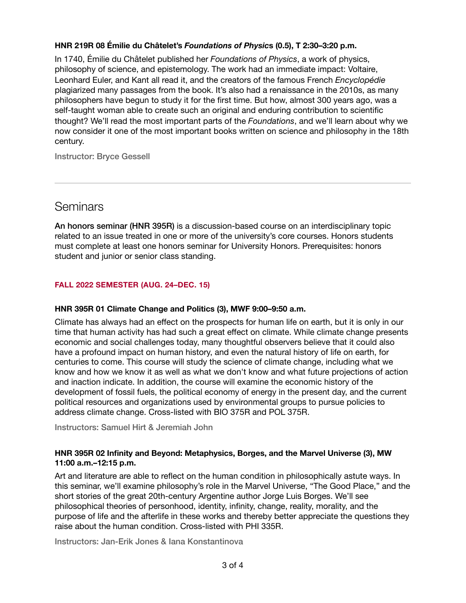# **HNR 219R 08 Émilie du Châtelet's** *Foundations of Physic***s (0.5), T 2:30–3:20 p.m.**

In 1740, Émilie du Châtelet published her *Foundations of Physics*, a work of physics, philosophy of science, and epistemology. The work had an immediate impact: Voltaire, Leonhard Euler, and Kant all read it, and the creators of the famous French *Encyclopédie*  plagiarized many passages from the book. It's also had a renaissance in the 2010s, as many philosophers have begun to study it for the first time. But how, almost 300 years ago, was a self-taught woman able to create such an original and enduring contribution to scientific thought? We'll read the most important parts of the *Foundations*, and we'll learn about why we now consider it one of the most important books written on science and philosophy in the 18th century.

Instructor: Bryce Gessell

# **Seminars**

An honors seminar (HNR 395R) is a discussion-based course on an interdisciplinary topic related to an issue treated in one or more of the university's core courses. Honors students must complete at least one honors seminar for University Honors. Prerequisites: honors student and junior or senior class standing.

## **FALL 2022 SEMESTER (AUG. 24–DEC. 15)**

#### **HNR 395R 01 Climate Change and Politics (3), MWF 9:00–9:50 a.m.**

Climate has always had an effect on the prospects for human life on earth, but it is only in our time that human activity has had such a great effect on climate. While climate change presents economic and social challenges today, many thoughtful observers believe that it could also have a profound impact on human history, and even the natural history of life on earth, for centuries to come. This course will study the science of climate change, including what we know and how we know it as well as what we don't know and what future projections of action and inaction indicate. In addition, the course will examine the economic history of the development of fossil fuels, the political economy of energy in the present day, and the current political resources and organizations used by environmental groups to pursue policies to address climate change. Cross-listed with BIO 375R and POL 375R.

Instructors: Samuel Hirt & Jeremiah John

## **HNR 395R 02 Infinity and Beyond: Metaphysics, Borges, and the Marvel Universe (3), MW 11:00 a.m.–12:15 p.m.**

Art and literature are able to reflect on the human condition in philosophically astute ways. In this seminar, we'll examine philosophy's role in the Marvel Universe, "The Good Place," and the short stories of the great 20th-century Argentine author Jorge Luis Borges. We'll see philosophical theories of personhood, identity, infinity, change, reality, morality, and the purpose of life and the afterlife in these works and thereby better appreciate the questions they raise about the human condition. Cross-listed with PHI 335R.

Instructors: Jan-Erik Jones & Iana Konstantinova